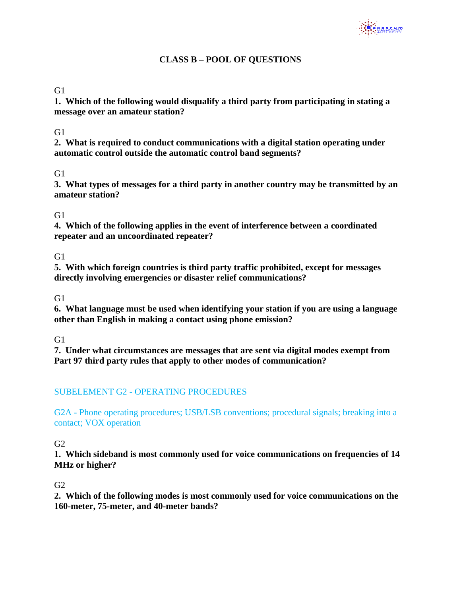# **CLASS B – POOL OF QUESTIONS**

#### G1

**1. Which of the following would disqualify a third party from participating in stating a message over an amateur station?**

#### $G1$

**2. What is required to conduct communications with a digital station operating under automatic control outside the automatic control band segments?**

### $G1$

**3. What types of messages for a third party in another country may be transmitted by an amateur station?**

#### G1

**4. Which of the following applies in the event of interference between a coordinated repeater and an uncoordinated repeater?**

G<sub>1</sub>

**5. With which foreign countries is third party traffic prohibited, except for messages directly involving emergencies or disaster relief communications?**

G<sub>1</sub>

**6. What language must be used when identifying your station if you are using a language other than English in making a contact using phone emission?**

 $G1$ 

**7. Under what circumstances are messages that are sent via digital modes exempt from Part 97 third party rules that apply to other modes of communication?**

# SUBELEMENT G2 - OPERATING PROCEDURES

G2A - Phone operating procedures; USB/LSB conventions; procedural signals; breaking into a contact; VOX operation

 $G2$ 

**1. Which sideband is most commonly used for voice communications on frequencies of 14 MHz or higher?**

#### $G<sub>2</sub>$

**2. Which of the following modes is most commonly used for voice communications on the 160-meter, 75-meter, and 40-meter bands?**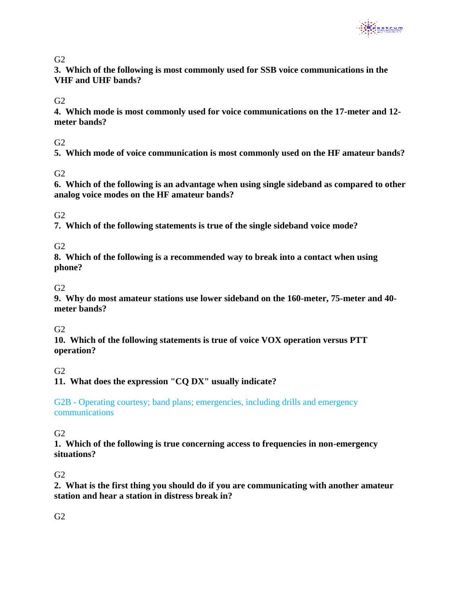

**3. Which of the following is most commonly used for SSB voice communications in the VHF and UHF bands?**

 $G2$ 

**4. Which mode is most commonly used for voice communications on the 17-meter and 12 meter bands?**

#### $G<sub>2</sub>$

**5. Which mode of voice communication is most commonly used on the HF amateur bands?** 

# $G2$

**6. Which of the following is an advantage when using single sideband as compared to other analog voice modes on the HF amateur bands?**

G2

**7. Which of the following statements is true of the single sideband voice mode?** 

 $G<sub>2</sub>$ 

**8. Which of the following is a recommended way to break into a contact when using phone?**

 $G2$ 

**9. Why do most amateur stations use lower sideband on the 160-meter, 75-meter and 40 meter bands?**

#### $G2$

**10. Which of the following statements is true of voice VOX operation versus PTT operation?**

#### $G2$

**11. What does the expression "CQ DX" usually indicate?**

G2B - Operating courtesy; band plans; emergencies, including drills and emergency communications

#### $G<sub>2</sub>$

**1. Which of the following is true concerning access to frequencies in non-emergency situations?**

#### G2

**2. What is the first thing you should do if you are communicating with another amateur station and hear a station in distress break in?**

#### $G2$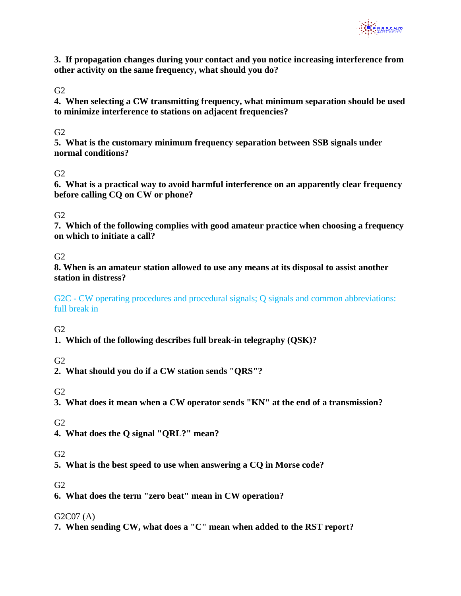

**3. If propagation changes during your contact and you notice increasing interference from other activity on the same frequency, what should you do?**

G2

**4. When selecting a CW transmitting frequency, what minimum separation should be used to minimize interference to stations on adjacent frequencies?**

## $G2$

**5. What is the customary minimum frequency separation between SSB signals under normal conditions?**

### $G2$

**6. What is a practical way to avoid harmful interference on an apparently clear frequency before calling CQ on CW or phone?**

### $G2$

**7. Which of the following complies with good amateur practice when choosing a frequency on which to initiate a call?**

#### $G2$

**8. When is an amateur station allowed to use any means at its disposal to assist another station in distress?**

G2C - CW operating procedures and procedural signals; Q signals and common abbreviations: full break in

 $G<sub>2</sub>$ 

**1. Which of the following describes full break-in telegraphy (QSK)?**

# $G2$

**2. What should you do if a CW station sends "QRS"?**

 $G2$ 

**3. What does it mean when a CW operator sends "KN" at the end of a transmission?**

G2

**4. What does the Q signal "QRL?" mean?**

#### $G2$

**5. What is the best speed to use when answering a CQ in Morse code?**

# $G<sub>2</sub>$

**6. What does the term "zero beat" mean in CW operation?**

#### G2C07 (A)

**7. When sending CW, what does a "C" mean when added to the RST report?**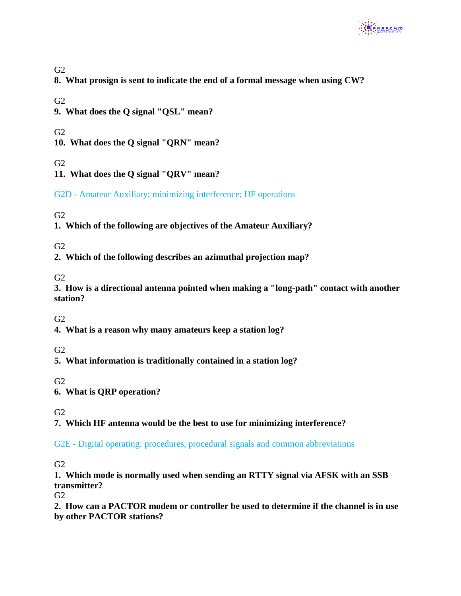

**8. What prosign is sent to indicate the end of a formal message when using CW?** 

 $G2$ 

**9. What does the Q signal "QSL" mean?**

 $G<sub>2</sub>$ 

**10. What does the Q signal "QRN" mean?**

 $G2$ 

**11. What does the Q signal "QRV" mean?**

G2D - Amateur Auxiliary; minimizing interference; HF operations

# G2

**1. Which of the following are objectives of the Amateur Auxiliary?**

 $G<sub>2</sub>$ 

**2. Which of the following describes an azimuthal projection map?**

 $G2$ 

**3. How is a directional antenna pointed when making a "long-path" contact with another station?**

G2

**4. What is a reason why many amateurs keep a station log?**

G2

**5. What information is traditionally contained in a station log?**

G2

**6. What is QRP operation?**

 $G<sub>2</sub>$ 

**7. Which HF antenna would be the best to use for minimizing interference?**

G2E - Digital operating: procedures, procedural signals and common abbreviations

 $G<sub>2</sub>$ 

**1. Which mode is normally used when sending an RTTY signal via AFSK with an SSB transmitter?**

 $G2$ 

**2. How can a PACTOR modem or controller be used to determine if the channel is in use by other PACTOR stations?**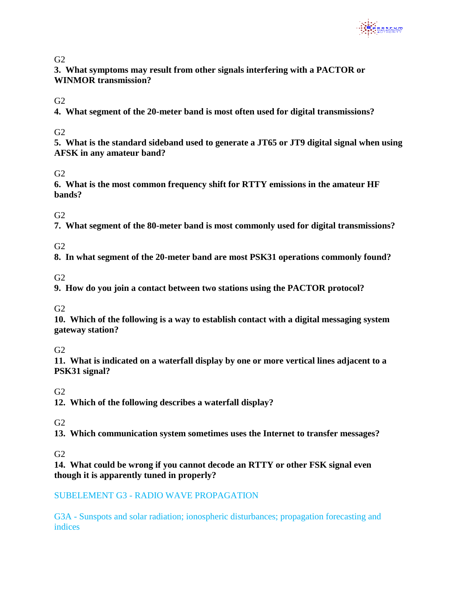

**3. What symptoms may result from other signals interfering with a PACTOR or WINMOR transmission?**

 $G2$ 

**4. What segment of the 20-meter band is most often used for digital transmissions?**

### $G2$

**5. What is the standard sideband used to generate a JT65 or JT9 digital signal when using AFSK in any amateur band?**

# $G2$

**6. What is the most common frequency shift for RTTY emissions in the amateur HF bands?**

 $G<sub>2</sub>$ 

**7. What segment of the 80-meter band is most commonly used for digital transmissions?**

 $G<sub>2</sub>$ 

**8. In what segment of the 20-meter band are most PSK31 operations commonly found?**

G2

**9. How do you join a contact between two stations using the PACTOR protocol?**

 $G2$ 

**10. Which of the following is a way to establish contact with a digital messaging system gateway station?**

 $G2$ 

**11. What is indicated on a waterfall display by one or more vertical lines adjacent to a PSK31 signal?**

 $G2$ 

**12. Which of the following describes a waterfall display?**

G2

**13. Which communication system sometimes uses the Internet to transfer messages?**

G2

**14. What could be wrong if you cannot decode an RTTY or other FSK signal even though it is apparently tuned in properly?**

#### SUBELEMENT G3 - RADIO WAVE PROPAGATION

G3A - Sunspots and solar radiation; ionospheric disturbances; propagation forecasting and indices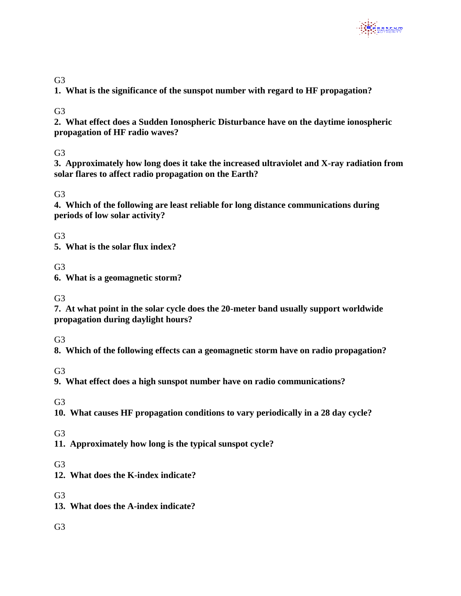

## G<sub>3</sub>

**1. What is the significance of the sunspot number with regard to HF propagation?**

G3

**2. What effect does a Sudden Ionospheric Disturbance have on the daytime ionospheric propagation of HF radio waves?**

G3

**3. Approximately how long does it take the increased ultraviolet and X-ray radiation from solar flares to affect radio propagation on the Earth?**

G3

**4. Which of the following are least reliable for long distance communications during periods of low solar activity?**

G<sub>3</sub>

**5. What is the solar flux index?**

G3

**6. What is a geomagnetic storm?**

G3

**7. At what point in the solar cycle does the 20-meter band usually support worldwide propagation during daylight hours?**

 $G<sub>3</sub>$ 

**8. Which of the following effects can a geomagnetic storm have on radio propagation?**

G3

**9. What effect does a high sunspot number have on radio communications?**

G3

**10. What causes HF propagation conditions to vary periodically in a 28 day cycle?**

G<sub>3</sub>

**11. Approximately how long is the typical sunspot cycle?**

G<sub>3</sub>

**12. What does the K-index indicate?**

G<sub>3</sub>

- **13. What does the A-index indicate?**
- G3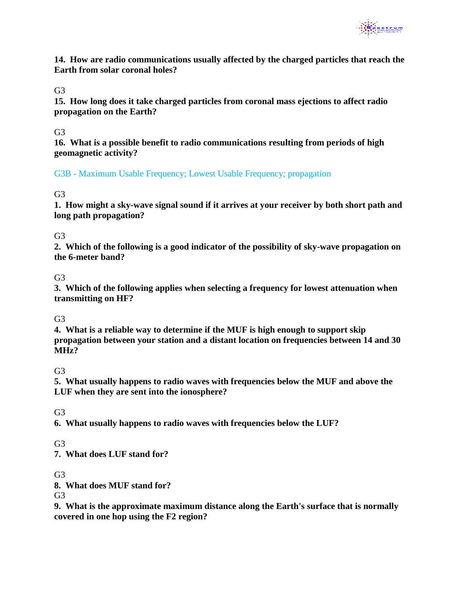

**14. How are radio communications usually affected by the charged particles that reach the Earth from solar coronal holes?**

#### G3

**15. How long does it take charged particles from coronal mass ejections to affect radio propagation on the Earth?**

#### G<sub>3</sub>

**16. What is a possible benefit to radio communications resulting from periods of high geomagnetic activity?**

G3B - Maximum Usable Frequency; Lowest Usable Frequency; propagation

### G3

**1. How might a sky-wave signal sound if it arrives at your receiver by both short path and long path propagation?**

### G3

**2. Which of the following is a good indicator of the possibility of sky-wave propagation on the 6-meter band?**

### G<sub>3</sub>

**3. Which of the following applies when selecting a frequency for lowest attenuation when transmitting on HF?**

#### G3

**4. What is a reliable way to determine if the MUF is high enough to support skip propagation between your station and a distant location on frequencies between 14 and 30 MHz?**

#### G3

**5. What usually happens to radio waves with frequencies below the MUF and above the LUF when they are sent into the ionosphere?**

#### G3

**6. What usually happens to radio waves with frequencies below the LUF?**

#### G<sub>3</sub>

**7. What does LUF stand for?**

#### G3

**8. What does MUF stand for?**

G<sub>3</sub>

**9. What is the approximate maximum distance along the Earth's surface that is normally covered in one hop using the F2 region?**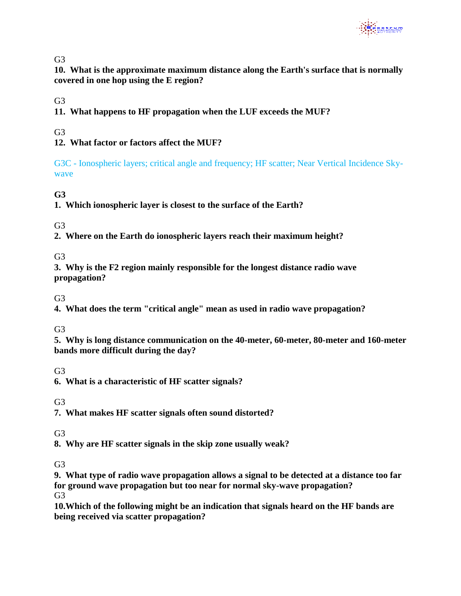

**10. What is the approximate maximum distance along the Earth's surface that is normally covered in one hop using the E region?**

G<sub>3</sub>

**11. What happens to HF propagation when the LUF exceeds the MUF?**

G3

# **12. What factor or factors affect the MUF?**

G3C - Ionospheric layers; critical angle and frequency; HF scatter; Near Vertical Incidence Skywave

**G3**

**1. Which ionospheric layer is closest to the surface of the Earth?**

G3

**2. Where on the Earth do ionospheric layers reach their maximum height?**

G3

**3. Why is the F2 region mainly responsible for the longest distance radio wave propagation?**

G3

**4. What does the term "critical angle" mean as used in radio wave propagation?**

G<sub>3</sub>

**5. Why is long distance communication on the 40-meter, 60-meter, 80-meter and 160-meter bands more difficult during the day?**

G3

**6. What is a characteristic of HF scatter signals?**

G3

**7. What makes HF scatter signals often sound distorted?**

G<sub>3</sub>

**8. Why are HF scatter signals in the skip zone usually weak?**

 $G<sub>3</sub>$ 

**9. What type of radio wave propagation allows a signal to be detected at a distance too far for ground wave propagation but too near for normal sky-wave propagation?**

G3

**10.Which of the following might be an indication that signals heard on the HF bands are being received via scatter propagation?**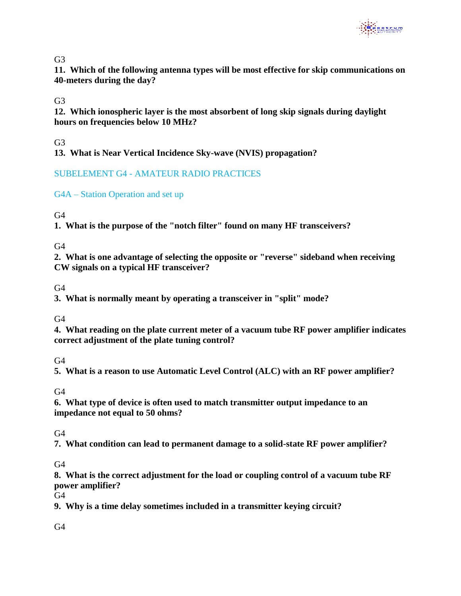

**11. Which of the following antenna types will be most effective for skip communications on 40-meters during the day?**

G<sub>3</sub>

**12. Which ionospheric layer is the most absorbent of long skip signals during daylight hours on frequencies below 10 MHz?**

G<sub>3</sub>

**13. What is Near Vertical Incidence Sky-wave (NVIS) propagation?**

# SUBELEMENT G4 - AMATEUR RADIO PRACTICES

G4A – Station Operation and set up

 $G<sub>4</sub>$ 

**1. What is the purpose of the "notch filter" found on many HF transceivers?**

 $G<sub>4</sub>$ 

**2. What is one advantage of selecting the opposite or "reverse" sideband when receiving CW signals on a typical HF transceiver?**

 $G4$ 

**3. What is normally meant by operating a transceiver in "split" mode?**

G4

**4. What reading on the plate current meter of a vacuum tube RF power amplifier indicates correct adjustment of the plate tuning control?**

 $G4$ 

**5. What is a reason to use Automatic Level Control (ALC) with an RF power amplifier?**

 $G4$ 

**6. What type of device is often used to match transmitter output impedance to an impedance not equal to 50 ohms?**

 $G4$ 

**7. What condition can lead to permanent damage to a solid-state RF power amplifier?**

 $G<sub>4</sub>$ 

**8. What is the correct adjustment for the load or coupling control of a vacuum tube RF power amplifier?**

 $G<sub>4</sub>$ 

**9. Why is a time delay sometimes included in a transmitter keying circuit?**

 $G4$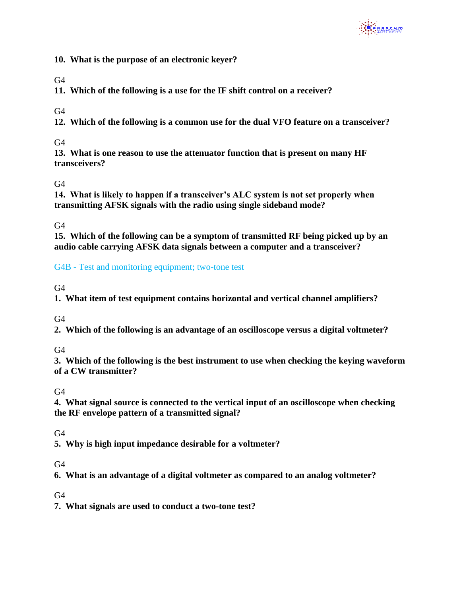

**10. What is the purpose of an electronic keyer?**

 $G4$ 

**11. Which of the following is a use for the IF shift control on a receiver?**

 $G<sub>4</sub>$ 

**12. Which of the following is a common use for the dual VFO feature on a transceiver?** 

 $G<sub>4</sub>$ 

**13. What is one reason to use the attenuator function that is present on many HF transceivers?**

 $G4$ 

**14. What is likely to happen if a transceiver's ALC system is not set properly when transmitting AFSK signals with the radio using single sideband mode?**

 $G<sub>4</sub>$ 

**15. Which of the following can be a symptom of transmitted RF being picked up by an audio cable carrying AFSK data signals between a computer and a transceiver?**

G4B - Test and monitoring equipment; two-tone test

 $G4$ 

**1. What item of test equipment contains horizontal and vertical channel amplifiers?**

G4

**2. Which of the following is an advantage of an oscilloscope versus a digital voltmeter?**

 $G4$ 

**3. Which of the following is the best instrument to use when checking the keying waveform of a CW transmitter?**

 $G4$ 

**4. What signal source is connected to the vertical input of an oscilloscope when checking the RF envelope pattern of a transmitted signal?**

 $G4$ 

**5. Why is high input impedance desirable for a voltmeter?**

 $G<sub>4</sub>$ 

**6. What is an advantage of a digital voltmeter as compared to an analog voltmeter?**

 $G4$ 

**7. What signals are used to conduct a two-tone test?**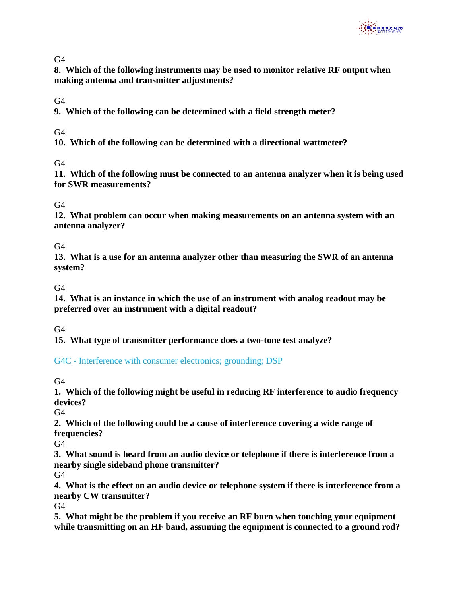

**8. Which of the following instruments may be used to monitor relative RF output when making antenna and transmitter adjustments?**

 $G4$ 

**9. Which of the following can be determined with a field strength meter?**

 $G4$ 

**10. Which of the following can be determined with a directional wattmeter?**

 $G4$ 

**11. Which of the following must be connected to an antenna analyzer when it is being used for SWR measurements?**

 $G<sub>4</sub>$ 

**12. What problem can occur when making measurements on an antenna system with an antenna analyzer?** 

 $G4$ 

**13. What is a use for an antenna analyzer other than measuring the SWR of an antenna system?** 

 $G4$ 

**14. What is an instance in which the use of an instrument with analog readout may be preferred over an instrument with a digital readout?**

 $G4$ 

**15. What type of transmitter performance does a two-tone test analyze?**

G4C - Interference with consumer electronics; grounding; DSP

 $G4$ 

**1. Which of the following might be useful in reducing RF interference to audio frequency devices?**

 $G4$ 

**2. Which of the following could be a cause of interference covering a wide range of frequencies?** 

 $G4$ 

**3. What sound is heard from an audio device or telephone if there is interference from a nearby single sideband phone transmitter?**

 $G4$ 

**4. What is the effect on an audio device or telephone system if there is interference from a nearby CW transmitter?**

G4

**5. What might be the problem if you receive an RF burn when touching your equipment while transmitting on an HF band, assuming the equipment is connected to a ground rod?**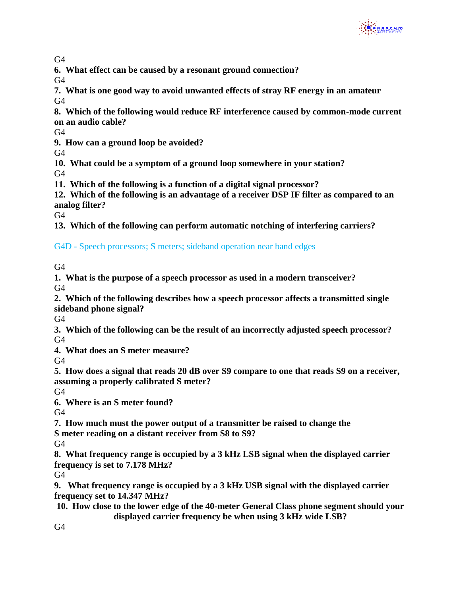

**6. What effect can be caused by a resonant ground connection?**

 $G4$ 

**7. What is one good way to avoid unwanted effects of stray RF energy in an amateur**   $G4$ 

**8. Which of the following would reduce RF interference caused by common-mode current on an audio cable?**

 $G4$ 

**9. How can a ground loop be avoided?**

G4

**10. What could be a symptom of a ground loop somewhere in your station?**

G4

**11. Which of the following is a function of a digital signal processor?**

**12. Which of the following is an advantage of a receiver DSP IF filter as compared to an analog filter?** 

G4

**13. Which of the following can perform automatic notching of interfering carriers?**

G4D - Speech processors; S meters; sideband operation near band edges

G4

**1. What is the purpose of a speech processor as used in a modern transceiver?**  $G<sub>4</sub>$ 

**2. Which of the following describes how a speech processor affects a transmitted single sideband phone signal?**

G4

**3. Which of the following can be the result of an incorrectly adjusted speech processor?**  $G4$ 

**4. What does an S meter measure?**

 $G4$ 

**5. How does a signal that reads 20 dB over S9 compare to one that reads S9 on a receiver, assuming a properly calibrated S meter?**

 $G<sub>4</sub>$ 

**6. Where is an S meter found?**

 $G4$ 

**7. How much must the power output of a transmitter be raised to change the**

**S meter reading on a distant receiver from S8 to S9?**

 $G<sub>4</sub>$ 

**8. What frequency range is occupied by a 3 kHz LSB signal when the displayed carrier frequency is set to 7.178 MHz?** 

 $G4$ 

**9. What frequency range is occupied by a 3 kHz USB signal with the displayed carrier frequency set to 14.347 MHz?**

**10. How close to the lower edge of the 40-meter General Class phone segment should your displayed carrier frequency be when using 3 kHz wide LSB?**

 $G4$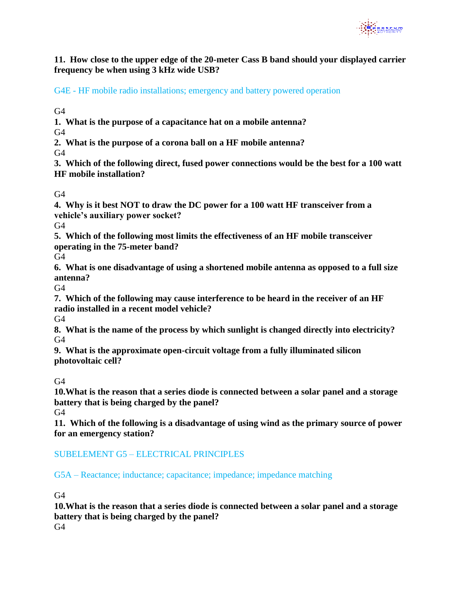

**11. How close to the upper edge of the 20-meter Cass B band should your displayed carrier frequency be when using 3 kHz wide USB?** 

G4E - HF mobile radio installations; emergency and battery powered operation

 $G4$ 

**1. What is the purpose of a capacitance hat on a mobile antenna?**  $G<sub>4</sub>$ 

**2. What is the purpose of a corona ball on a HF mobile antenna?** G4

**3. Which of the following direct, fused power connections would be the best for a 100 watt HF mobile installation?** 

 $G<sub>4</sub>$ 

**4. Why is it best NOT to draw the DC power for a 100 watt HF transceiver from a vehicle's auxiliary power socket?**

G4

**5. Which of the following most limits the effectiveness of an HF mobile transceiver operating in the 75-meter band?**

G4

**6. What is one disadvantage of using a shortened mobile antenna as opposed to a full size antenna?**

 $G4$ 

**7. Which of the following may cause interference to be heard in the receiver of an HF radio installed in a recent model vehicle?**

G4

**8. What is the name of the process by which sunlight is changed directly into electricity?**  $G4$ 

**9. What is the approximate open-circuit voltage from a fully illuminated silicon photovoltaic cell?**

 $G4$ 

**10.What is the reason that a series diode is connected between a solar panel and a storage battery that is being charged by the panel?**

 $G4$ 

**11. Which of the following is a disadvantage of using wind as the primary source of power for an emergency station?**

# SUBELEMENT G5 – ELECTRICAL PRINCIPLES

G5A – Reactance; inductance; capacitance; impedance; impedance matching

 $G4$ 

**10.What is the reason that a series diode is connected between a solar panel and a storage battery that is being charged by the panel?**

 $G4$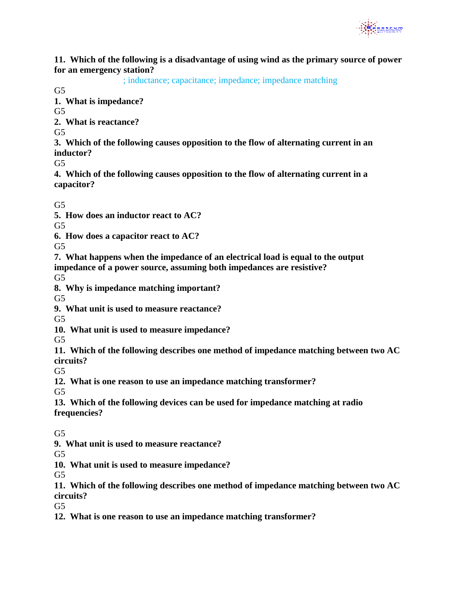

**11. Which of the following is a disadvantage of using wind as the primary source of power for an emergency station?**

; inductance; capacitance; impedance; impedance matching

 $G<sub>5</sub>$ 

**1. What is impedance?**

 $G<sub>5</sub>$ 

**2. What is reactance?**

 $G<sub>5</sub>$ 

**3. Which of the following causes opposition to the flow of alternating current in an inductor?**

G5

**4. Which of the following causes opposition to the flow of alternating current in a capacitor?**

 $G<sub>5</sub>$ 

**5. How does an inductor react to AC?**

 $G<sub>5</sub>$ 

**6. How does a capacitor react to AC?**

 $G<sub>5</sub>$ 

**7. What happens when the impedance of an electrical load is equal to the output impedance of a power source, assuming both impedances are resistive?** 

 $G<sub>5</sub>$ 

**8. Why is impedance matching important?**

 $G<sub>5</sub>$ 

**9. What unit is used to measure reactance?**

G5

**10. What unit is used to measure impedance?**

 $G<sub>5</sub>$ 

**11. Which of the following describes one method of impedance matching between two AC circuits?**

 $G<sub>5</sub>$ 

**12. What is one reason to use an impedance matching transformer?**

 $G<sub>5</sub>$ 

**13. Which of the following devices can be used for impedance matching at radio frequencies?**

 $G<sub>5</sub>$ 

**9. What unit is used to measure reactance?**

 $G<sub>5</sub>$ 

**10. What unit is used to measure impedance?**

G5

**11. Which of the following describes one method of impedance matching between two AC circuits?**

 $G<sub>5</sub>$ 

**12. What is one reason to use an impedance matching transformer?**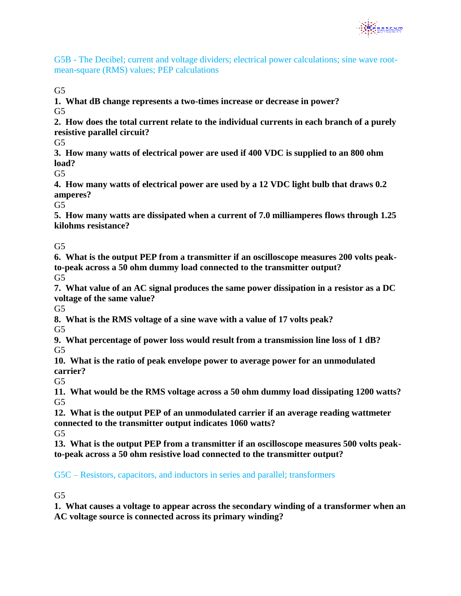

G5B - The Decibel; current and voltage dividers; electrical power calculations; sine wave rootmean-square (RMS) values; PEP calculations

 $G<sub>5</sub>$ 

**1. What dB change represents a two-times increase or decrease in power?**  $G5$ 

**2. How does the total current relate to the individual currents in each branch of a purely resistive parallel circuit?**

 $G<sub>5</sub>$ 

**3. How many watts of electrical power are used if 400 VDC is supplied to an 800 ohm load?**

 $G<sub>5</sub>$ 

**4. How many watts of electrical power are used by a 12 VDC light bulb that draws 0.2 amperes?**

 $G<sub>5</sub>$ 

**5. How many watts are dissipated when a current of 7.0 milliamperes flows through 1.25 kilohms resistance?**

 $G<sub>5</sub>$ 

**6. What is the output PEP from a transmitter if an oscilloscope measures 200 volts peakto-peak across a 50 ohm dummy load connected to the transmitter output?** G5

**7. What value of an AC signal produces the same power dissipation in a resistor as a DC voltage of the same value?** 

 $G<sub>5</sub>$ 

**8. What is the RMS voltage of a sine wave with a value of 17 volts peak?** 

 $G<sub>5</sub>$ 

**9. What percentage of power loss would result from a transmission line loss of 1 dB?**  $G<sub>5</sub>$ 

**10. What is the ratio of peak envelope power to average power for an unmodulated carrier?**

 $G<sub>5</sub>$ 

**11. What would be the RMS voltage across a 50 ohm dummy load dissipating 1200 watts?**  $G<sub>5</sub>$ 

**12. What is the output PEP of an unmodulated carrier if an average reading wattmeter connected to the transmitter output indicates 1060 watts?**

 $G<sub>5</sub>$ 

**13. What is the output PEP from a transmitter if an oscilloscope measures 500 volts peakto-peak across a 50 ohm resistive load connected to the transmitter output?**

G5C – Resistors, capacitors, and inductors in series and parallel; transformers

 $G<sub>5</sub>$ 

**1. What causes a voltage to appear across the secondary winding of a transformer when an AC voltage source is connected across its primary winding?**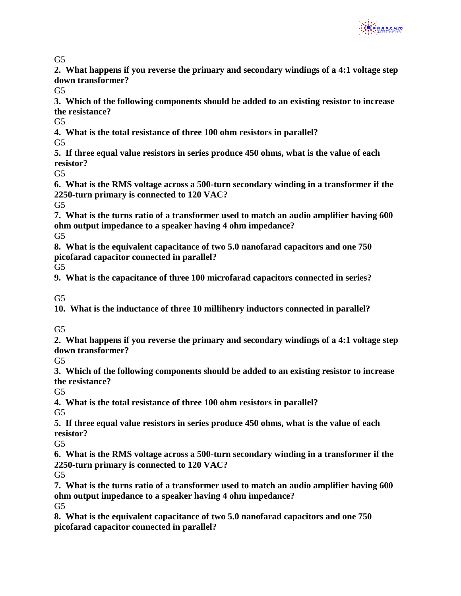

 $G<sub>5</sub>$ 

**2. What happens if you reverse the primary and secondary windings of a 4:1 voltage step down transformer?**

 $G<sub>5</sub>$ 

**3. Which of the following components should be added to an existing resistor to increase the resistance?**

 $G<sub>5</sub>$ 

**4. What is the total resistance of three 100 ohm resistors in parallel?**

 $G<sub>5</sub>$ 

**5. If three equal value resistors in series produce 450 ohms, what is the value of each resistor?**

 $G<sub>5</sub>$ 

**6. What is the RMS voltage across a 500-turn secondary winding in a transformer if the 2250-turn primary is connected to 120 VAC?**

 $G<sub>5</sub>$ 

**7. What is the turns ratio of a transformer used to match an audio amplifier having 600 ohm output impedance to a speaker having 4 ohm impedance?**

 $G<sub>5</sub>$ 

**8. What is the equivalent capacitance of two 5.0 nanofarad capacitors and one 750 picofarad capacitor connected in parallel?**

G5

**9. What is the capacitance of three 100 microfarad capacitors connected in series?**

 $G<sub>5</sub>$ 

**10. What is the inductance of three 10 millihenry inductors connected in parallel?**

 $G<sub>5</sub>$ 

**2. What happens if you reverse the primary and secondary windings of a 4:1 voltage step down transformer?**

 $G<sub>5</sub>$ 

**3. Which of the following components should be added to an existing resistor to increase the resistance?**

 $G<sub>5</sub>$ 

**4. What is the total resistance of three 100 ohm resistors in parallel?**  $G<sub>5</sub>$ 

**5. If three equal value resistors in series produce 450 ohms, what is the value of each resistor?**

 $G<sub>5</sub>$ 

**6. What is the RMS voltage across a 500-turn secondary winding in a transformer if the 2250-turn primary is connected to 120 VAC?**

 $G<sub>5</sub>$ 

**7. What is the turns ratio of a transformer used to match an audio amplifier having 600 ohm output impedance to a speaker having 4 ohm impedance?**  $G<sub>5</sub>$ 

**8. What is the equivalent capacitance of two 5.0 nanofarad capacitors and one 750 picofarad capacitor connected in parallel?**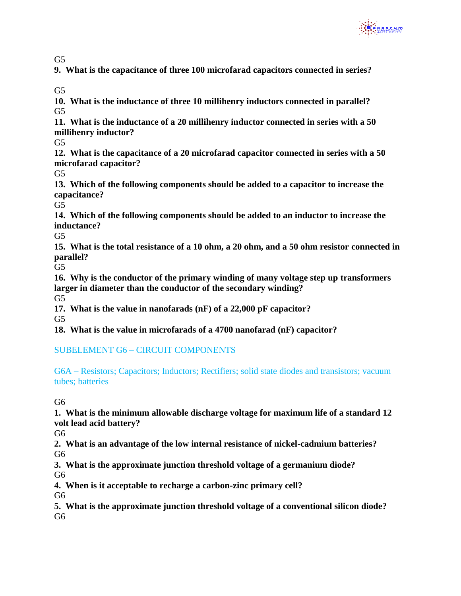

 $G<sub>5</sub>$ 

**9. What is the capacitance of three 100 microfarad capacitors connected in series?**

 $G<sub>5</sub>$ 

**10. What is the inductance of three 10 millihenry inductors connected in parallel?** G5

**11. What is the inductance of a 20 millihenry inductor connected in series with a 50 millihenry inductor?**

 $G<sub>5</sub>$ 

**12. What is the capacitance of a 20 microfarad capacitor connected in series with a 50 microfarad capacitor?**

 $G<sub>5</sub>$ 

**13. Which of the following components should be added to a capacitor to increase the capacitance?**

 $G<sub>5</sub>$ 

**14. Which of the following components should be added to an inductor to increase the inductance?**

 $G<sub>5</sub>$ 

**15. What is the total resistance of a 10 ohm, a 20 ohm, and a 50 ohm resistor connected in parallel?**

G5

**16. Why is the conductor of the primary winding of many voltage step up transformers larger in diameter than the conductor of the secondary winding?**

G5

**17. What is the value in nanofarads (nF) of a 22,000 pF capacitor?**

G5

**18. What is the value in microfarads of a 4700 nanofarad (nF) capacitor?**

SUBELEMENT G6 – CIRCUIT COMPONENTS

G6A – Resistors; Capacitors; Inductors; Rectifiers; solid state diodes and transistors; vacuum tubes; batteries

G6

**1. What is the minimum allowable discharge voltage for maximum life of a standard 12 volt lead acid battery?**

G6

**2. What is an advantage of the low internal resistance of nickel-cadmium batteries?** G6

**3. What is the approximate junction threshold voltage of a germanium diode?**

G6

**4. When is it acceptable to recharge a carbon-zinc primary cell?**

G6

**5. What is the approximate junction threshold voltage of a conventional silicon diode?** G6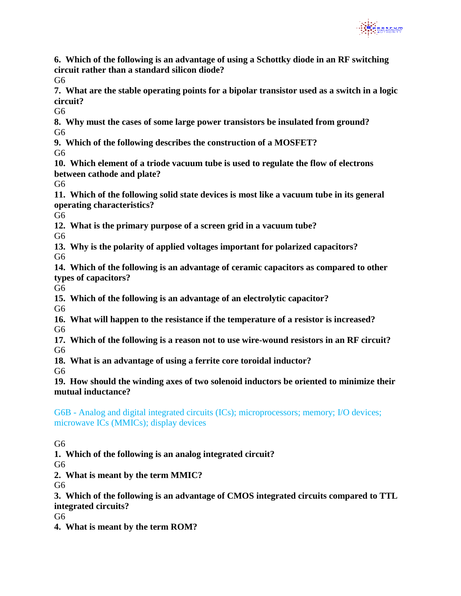

**6. Which of the following is an advantage of using a Schottky diode in an RF switching circuit rather than a standard silicon diode?**

 $G6$ 

**7. What are the stable operating points for a bipolar transistor used as a switch in a logic circuit?**

G<sub>6</sub>

**8. Why must the cases of some large power transistors be insulated from ground?** G<sub>6</sub>

**9. Which of the following describes the construction of a MOSFET?**

G6

**10. Which element of a triode vacuum tube is used to regulate the flow of electrons between cathode and plate?**

G6

**11. Which of the following solid state devices is most like a vacuum tube in its general operating characteristics?**

G6

**12. What is the primary purpose of a screen grid in a vacuum tube?**

G6

**13. Why is the polarity of applied voltages important for polarized capacitors?**

G6

**14. Which of the following is an advantage of ceramic capacitors as compared to other types of capacitors?**

G6

**15. Which of the following is an advantage of an electrolytic capacitor?**

G6

**16. What will happen to the resistance if the temperature of a resistor is increased?** G6

**17. Which of the following is a reason not to use wire-wound resistors in an RF circuit?** G6

**18. What is an advantage of using a ferrite core toroidal inductor?**

G<sub>6</sub>

**19. How should the winding axes of two solenoid inductors be oriented to minimize their mutual inductance?**

G6B - Analog and digital integrated circuits (ICs); microprocessors; memory; I/O devices; microwave ICs (MMICs); display devices

G<sub>6</sub>

**1. Which of the following is an analog integrated circuit?**

G6

**2. What is meant by the term MMIC?**

G6

**3. Which of the following is an advantage of CMOS integrated circuits compared to TTL integrated circuits?**

G6

**4. What is meant by the term ROM?**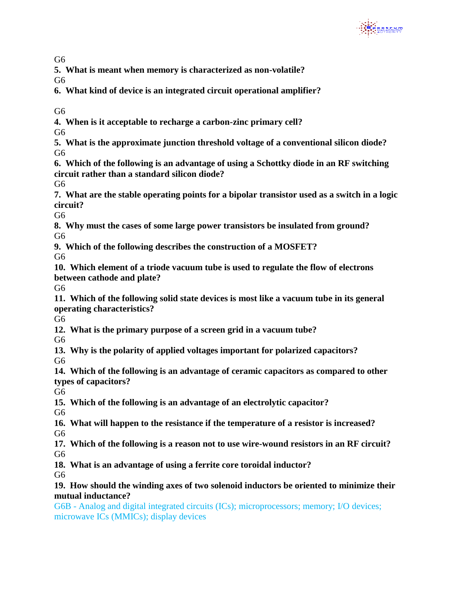

G<sub>6</sub>

**5. What is meant when memory is characterized as non-volatile?**

 $G6$ 

- **6. What kind of device is an integrated circuit operational amplifier?**
- G6
- **4. When is it acceptable to recharge a carbon-zinc primary cell?**
- G<sub>6</sub>
- **5. What is the approximate junction threshold voltage of a conventional silicon diode?** G6
- **6. Which of the following is an advantage of using a Schottky diode in an RF switching circuit rather than a standard silicon diode?**
- $G6$
- **7. What are the stable operating points for a bipolar transistor used as a switch in a logic circuit?**

G6

- **8. Why must the cases of some large power transistors be insulated from ground?** G<sub>6</sub>
- **9. Which of the following describes the construction of a MOSFET?**

 $G6$ 

**10. Which element of a triode vacuum tube is used to regulate the flow of electrons between cathode and plate?**

G6

**11. Which of the following solid state devices is most like a vacuum tube in its general operating characteristics?**

G6

**12. What is the primary purpose of a screen grid in a vacuum tube?**

G6

- **13. Why is the polarity of applied voltages important for polarized capacitors?** G<sub>6</sub>
- **14. Which of the following is an advantage of ceramic capacitors as compared to other types of capacitors?**

G6

**15. Which of the following is an advantage of an electrolytic capacitor?**

G6

- **16. What will happen to the resistance if the temperature of a resistor is increased?** G6
- **17. Which of the following is a reason not to use wire-wound resistors in an RF circuit?** G6
- **18. What is an advantage of using a ferrite core toroidal inductor?**

G6

#### **19. How should the winding axes of two solenoid inductors be oriented to minimize their mutual inductance?**

G6B - Analog and digital integrated circuits (ICs); microprocessors; memory; I/O devices; microwave ICs (MMICs); display devices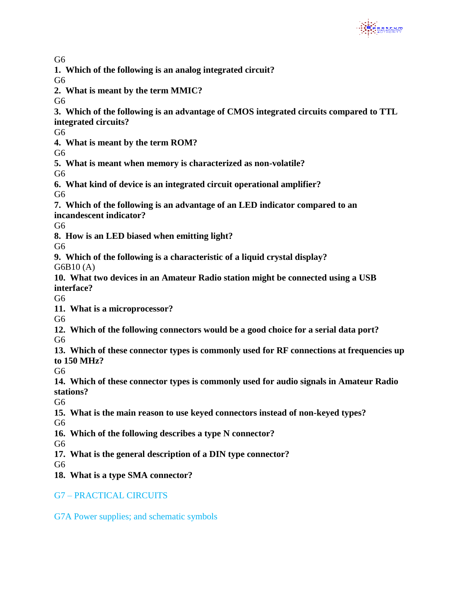

G<sub>6</sub>

**1. Which of the following is an analog integrated circuit?**

G6

**2. What is meant by the term MMIC?**

 $G6$ 

- **3. Which of the following is an advantage of CMOS integrated circuits compared to TTL**
- **integrated circuits?**

G<sub>6</sub>

**4. What is meant by the term ROM?**

G6

**5. What is meant when memory is characterized as non-volatile?**

G6

- **6. What kind of device is an integrated circuit operational amplifier?** G6
- **7. Which of the following is an advantage of an LED indicator compared to an incandescent indicator?**

 $G6$ 

**8. How is an LED biased when emitting light?**

G6

- **9. Which of the following is a characteristic of a liquid crystal display?** G6B10 (A)
- **10. What two devices in an Amateur Radio station might be connected using a USB interface?**

G6

**11. What is a microprocessor?**

G6

**12. Which of the following connectors would be a good choice for a serial data port?**

G6

**13. Which of these connector types is commonly used for RF connections at frequencies up to 150 MHz?**

G6

**14. Which of these connector types is commonly used for audio signals in Amateur Radio stations?** 

G<sub>6</sub>

**15. What is the main reason to use keyed connectors instead of non-keyed types?**

G6

**16. Which of the following describes a type N connector?**

G6

**17. What is the general description of a DIN type connector?**

G<sub>6</sub>

**18. What is a type SMA connector?**

G7 – PRACTICAL CIRCUITS

G7A Power supplies; and schematic symbols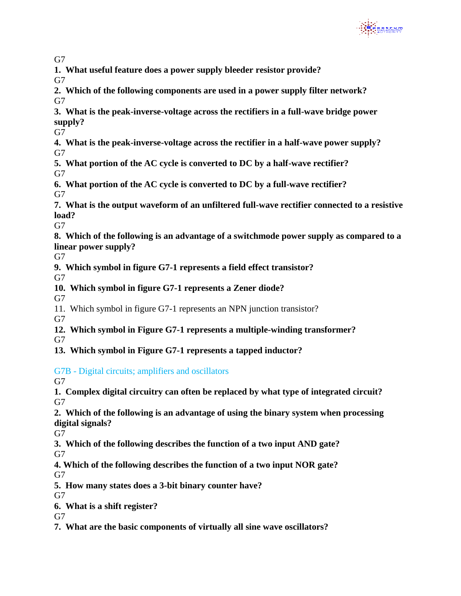

**1. What useful feature does a power supply bleeder resistor provide?**

 $G7$ 

- **2. Which of the following components are used in a power supply filter network?**  $G7$
- **3. What is the peak-inverse-voltage across the rectifiers in a full-wave bridge power supply?**

G7

**4. What is the peak-inverse-voltage across the rectifier in a half-wave power supply?** G7

**5. What portion of the AC cycle is converted to DC by a half-wave rectifier?** G7

**6. What portion of the AC cycle is converted to DC by a full-wave rectifier?** G7

**7. What is the output waveform of an unfiltered full-wave rectifier connected to a resistive load?**

G7

**8. Which of the following is an advantage of a switchmode power supply as compared to a linear power supply?**

G7

**9. Which symbol in figure G7-1 represents a field effect transistor?**

G7

**10. Which symbol in figure G7-1 represents a Zener diode?**

G7

11. Which symbol in figure G7-1 represents an NPN junction transistor?

G7

**12. Which symbol in Figure G7-1 represents a multiple-winding transformer?**

 $G7$ 

**13. Which symbol in Figure G7-1 represents a tapped inductor?**

# G7B - Digital circuits; amplifiers and oscillators

G7

- **1. Complex digital circuitry can often be replaced by what type of integrated circuit?** G7
- **2. Which of the following is an advantage of using the binary system when processing digital signals?**

G7

**3. Which of the following describes the function of a two input AND gate?**

G7

- **4. Which of the following describes the function of a two input NOR gate?** G7
- **5. How many states does a 3-bit binary counter have?**

 $G7$ 

**6. What is a shift register?**

 $G7$ 

**7. What are the basic components of virtually all sine wave oscillators?**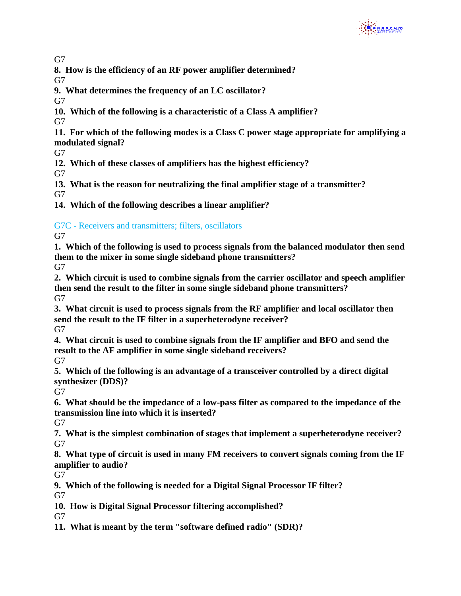

**8. How is the efficiency of an RF power amplifier determined?**

 $G7$ 

**9. What determines the frequency of an LC oscillator?**

G7

**10. Which of the following is a characteristic of a Class A amplifier?**

G7

**11. For which of the following modes is a Class C power stage appropriate for amplifying a modulated signal?**

G7

**12. Which of these classes of amplifiers has the highest efficiency?**

G7

**13. What is the reason for neutralizing the final amplifier stage of a transmitter?**

G7

**14. Which of the following describes a linear amplifier?**

G7C - Receivers and transmitters; filters, oscillators

 $G7$ 

**1. Which of the following is used to process signals from the balanced modulator then send them to the mixer in some single sideband phone transmitters?**

G7

**2. Which circuit is used to combine signals from the carrier oscillator and speech amplifier then send the result to the filter in some single sideband phone transmitters?** G7

**3. What circuit is used to process signals from the RF amplifier and local oscillator then send the result to the IF filter in a superheterodyne receiver?**

G7

**4. What circuit is used to combine signals from the IF amplifier and BFO and send the result to the AF amplifier in some single sideband receivers?**  $G7$ 

**5. Which of the following is an advantage of a transceiver controlled by a direct digital synthesizer (DDS)?**

 $G7$ 

**6. What should be the impedance of a low-pass filter as compared to the impedance of the transmission line into which it is inserted?** 

G7

**7. What is the simplest combination of stages that implement a superheterodyne receiver?**  $G7$ 

**8. What type of circuit is used in many FM receivers to convert signals coming from the IF amplifier to audio?**

G7

**9. Which of the following is needed for a Digital Signal Processor IF filter?**  $G7$ 

**10. How is Digital Signal Processor filtering accomplished?**

 $G7$ 

**11. What is meant by the term "software defined radio" (SDR)?**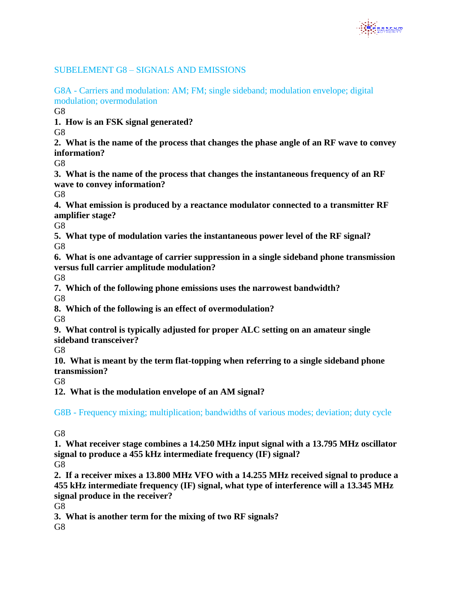

# SUBELEMENT G8 – SIGNALS AND EMISSIONS

G8A - Carriers and modulation: AM; FM; single sideband; modulation envelope; digital modulation; overmodulation

G<sub>8</sub>

**1. How is an FSK signal generated?**

G<sub>8</sub>

**2. What is the name of the process that changes the phase angle of an RF wave to convey information?**

G<sub>8</sub>

**3. What is the name of the process that changes the instantaneous frequency of an RF wave to convey information?**

G8

**4. What emission is produced by a reactance modulator connected to a transmitter RF amplifier stage?**

G8

**5. What type of modulation varies the instantaneous power level of the RF signal?** G8

**6. What is one advantage of carrier suppression in a single sideband phone transmission versus full carrier amplitude modulation?**

G8

**7. Which of the following phone emissions uses the narrowest bandwidth?** G8

**8. Which of the following is an effect of overmodulation?**

G8

**9. What control is typically adjusted for proper ALC setting on an amateur single sideband transceiver?**

G<sub>8</sub>

**10. What is meant by the term flat-topping when referring to a single sideband phone transmission?**

G8

**12. What is the modulation envelope of an AM signal?** 

G8B - Frequency mixing; multiplication; bandwidths of various modes; deviation; duty cycle

G<sub>8</sub>

**1. What receiver stage combines a 14.250 MHz input signal with a 13.795 MHz oscillator signal to produce a 455 kHz intermediate frequency (IF) signal?**

G8

**2. If a receiver mixes a 13.800 MHz VFO with a 14.255 MHz received signal to produce a 455 kHz intermediate frequency (IF) signal, what type of interference will a 13.345 MHz signal produce in the receiver?**

G8

**3. What is another term for the mixing of two RF signals?**

G8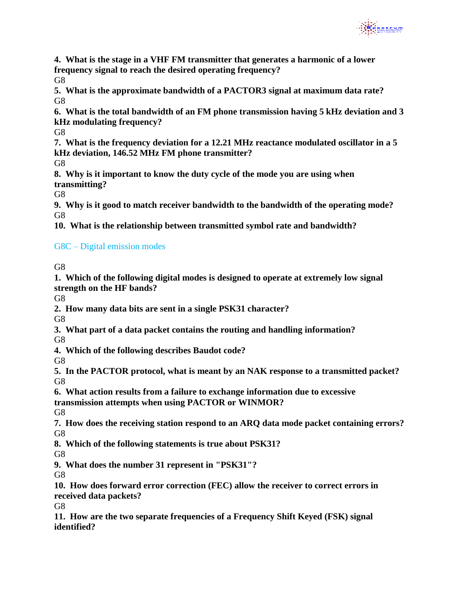

**4. What is the stage in a VHF FM transmitter that generates a harmonic of a lower frequency signal to reach the desired operating frequency?**

G<sub>8</sub>

**5. What is the approximate bandwidth of a PACTOR3 signal at maximum data rate?** G<sub>8</sub>

**6. What is the total bandwidth of an FM phone transmission having 5 kHz deviation and 3 kHz modulating frequency?**

G<sub>8</sub>

**7. What is the frequency deviation for a 12.21 MHz reactance modulated oscillator in a 5 kHz deviation, 146.52 MHz FM phone transmitter?**

G8

**8. Why is it important to know the duty cycle of the mode you are using when transmitting?**

G8

**9. Why is it good to match receiver bandwidth to the bandwidth of the operating mode?** G8

**10. What is the relationship between transmitted symbol rate and bandwidth?**

# G8C – Digital emission modes

G8

**1. Which of the following digital modes is designed to operate at extremely low signal strength on the HF bands?** 

G8

**2. How many data bits are sent in a single PSK31 character?**

G8

**3. What part of a data packet contains the routing and handling information?** G<sub>8</sub>

**4. Which of the following describes Baudot code?**

G<sub>8</sub>

**5. In the PACTOR protocol, what is meant by an NAK response to a transmitted packet?** G8

**6. What action results from a failure to exchange information due to excessive transmission attempts when using PACTOR or WINMOR?**

G8

**7. How does the receiving station respond to an ARQ data mode packet containing errors?** G8

**8. Which of the following statements is true about PSK31?**

G8

**9. What does the number 31 represent in "PSK31"?**

G8

**10. How does forward error correction (FEC) allow the receiver to correct errors in received data packets?**

G8

**11. How are the two separate frequencies of a Frequency Shift Keyed (FSK) signal identified?**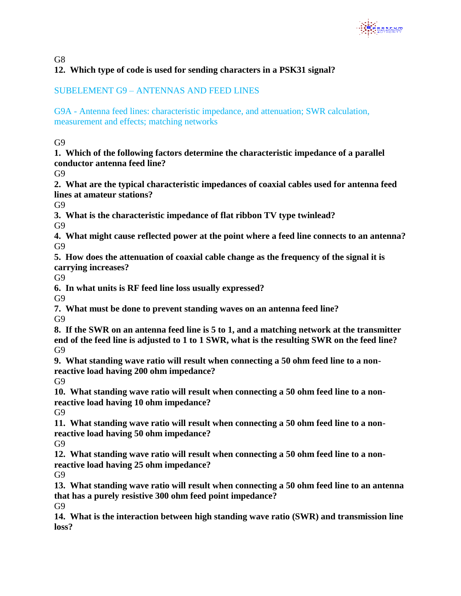

G<sub>8</sub>

# **12. Which type of code is used for sending characters in a PSK31 signal?**

### SUBELEMENT G9 – ANTENNAS AND FEED LINES

G9A - Antenna feed lines: characteristic impedance, and attenuation; SWR calculation, measurement and effects; matching networks

G<sub>9</sub>

**1. Which of the following factors determine the characteristic impedance of a parallel conductor antenna feed line?**

G9

**2. What are the typical characteristic impedances of coaxial cables used for antenna feed lines at amateur stations?**

 $G<sub>9</sub>$ 

**3. What is the characteristic impedance of flat ribbon TV type twinlead?** G9

**4. What might cause reflected power at the point where a feed line connects to an antenna?** G9

**5. How does the attenuation of coaxial cable change as the frequency of the signal it is carrying increases?**

G9

**6. In what units is RF feed line loss usually expressed?**

G9

**7. What must be done to prevent standing waves on an antenna feed line?** G9

**8. If the SWR on an antenna feed line is 5 to 1, and a matching network at the transmitter end of the feed line is adjusted to 1 to 1 SWR, what is the resulting SWR on the feed line?** G9

**9. What standing wave ratio will result when connecting a 50 ohm feed line to a nonreactive load having 200 ohm impedance?**

G9

**10. What standing wave ratio will result when connecting a 50 ohm feed line to a nonreactive load having 10 ohm impedance?**

G9

**11. What standing wave ratio will result when connecting a 50 ohm feed line to a nonreactive load having 50 ohm impedance?** G9

**12. What standing wave ratio will result when connecting a 50 ohm feed line to a nonreactive load having 25 ohm impedance?**

G9

**13. What standing wave ratio will result when connecting a 50 ohm feed line to an antenna that has a purely resistive 300 ohm feed point impedance?**

G9

**14. What is the interaction between high standing wave ratio (SWR) and transmission line loss?**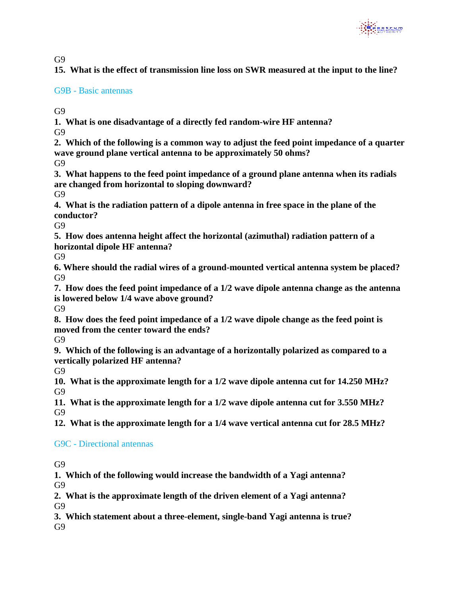

**15. What is the effect of transmission line loss on SWR measured at the input to the line?**

#### G9B - Basic antennas

G9

**1. What is one disadvantage of a directly fed random-wire HF antenna?** G<sub>9</sub>

**2. Which of the following is a common way to adjust the feed point impedance of a quarter wave ground plane vertical antenna to be approximately 50 ohms?** G9

**3. What happens to the feed point impedance of a ground plane antenna when its radials are changed from horizontal to sloping downward?**

G9

**4. What is the radiation pattern of a dipole antenna in free space in the plane of the conductor?**

G<sub>9</sub>

**5. How does antenna height affect the horizontal (azimuthal) radiation pattern of a horizontal dipole HF antenna?**

G<sub>9</sub>

**6. Where should the radial wires of a ground-mounted vertical antenna system be placed?** G9

**7. How does the feed point impedance of a 1/2 wave dipole antenna change as the antenna is lowered below 1/4 wave above ground?**

G<sub>9</sub>

**8. How does the feed point impedance of a 1/2 wave dipole change as the feed point is moved from the center toward the ends?**

G9

**9. Which of the following is an advantage of a horizontally polarized as compared to a vertically polarized HF antenna?**

G9

**10. What is the approximate length for a 1/2 wave dipole antenna cut for 14.250 MHz?** G9

**11. What is the approximate length for a 1/2 wave dipole antenna cut for 3.550 MHz?** G9

**12. What is the approximate length for a 1/4 wave vertical antenna cut for 28.5 MHz?**

#### G9C - Directional antennas

G9

**1. Which of the following would increase the bandwidth of a Yagi antenna?** G9

**2. What is the approximate length of the driven element of a Yagi antenna?** G9

**3. Which statement about a three-element, single-band Yagi antenna is true?** G9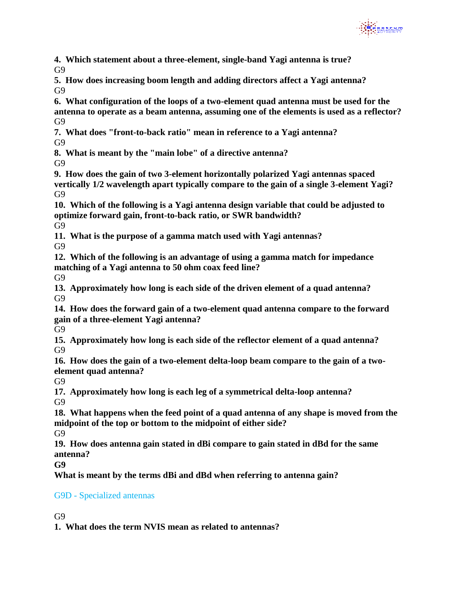

**4. Which statement about a three-element, single-band Yagi antenna is true?** G<sub>9</sub>

**5. How does increasing boom length and adding directors affect a Yagi antenna?** G9

**6. What configuration of the loops of a two-element quad antenna must be used for the antenna to operate as a beam antenna, assuming one of the elements is used as a reflector?**  G<sub>9</sub>

**7. What does "front-to-back ratio" mean in reference to a Yagi antenna?** G<sub>9</sub>

**8. What is meant by the "main lobe" of a directive antenna?** G9

**9. How does the gain of two 3-element horizontally polarized Yagi antennas spaced vertically 1/2 wavelength apart typically compare to the gain of a single 3-element Yagi?** G9

**10. Which of the following is a Yagi antenna design variable that could be adjusted to optimize forward gain, front-to-back ratio, or SWR bandwidth?**  G9

**11. What is the purpose of a gamma match used with Yagi antennas?** G9

**12. Which of the following is an advantage of using a gamma match for impedance matching of a Yagi antenna to 50 ohm coax feed line?**

G9

**13. Approximately how long is each side of the driven element of a quad antenna?** G9

**14. How does the forward gain of a two-element quad antenna compare to the forward gain of a three-element Yagi antenna?**

G9

**15. Approximately how long is each side of the reflector element of a quad antenna?** G<sub>9</sub>

**16. How does the gain of a two-element delta-loop beam compare to the gain of a twoelement quad antenna?**

G9

**17. Approximately how long is each leg of a symmetrical delta-loop antenna?** G9

**18. What happens when the feed point of a quad antenna of any shape is moved from the midpoint of the top or bottom to the midpoint of either side?**

G9

**19. How does antenna gain stated in dBi compare to gain stated in dBd for the same antenna?**

**G9** 

**What is meant by the terms dBi and dBd when referring to antenna gain?**

# G9D - Specialized antennas

G9

**1. What does the term NVIS mean as related to antennas?**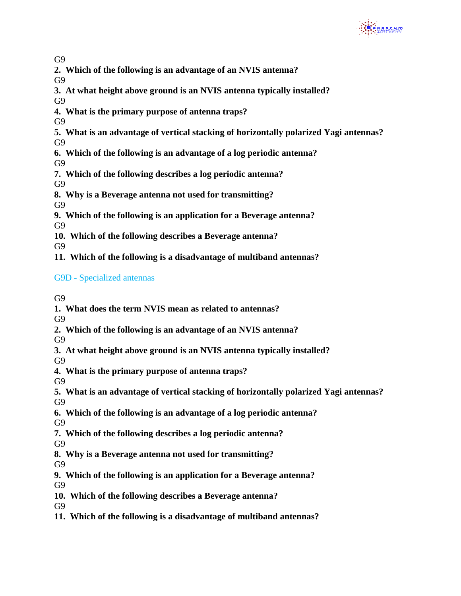

**2. Which of the following is an advantage of an NVIS antenna?**

G<sub>9</sub>

- **3. At what height above ground is an NVIS antenna typically installed?** G<sub>9</sub>
- **4. What is the primary purpose of antenna traps?**

G<sub>9</sub>

- **5. What is an advantage of vertical stacking of horizontally polarized Yagi antennas?**
- G<sub>9</sub>
- **6. Which of the following is an advantage of a log periodic antenna?**

G9

**7. Which of the following describes a log periodic antenna?**

G9

**8. Why is a Beverage antenna not used for transmitting?**

G<sub>9</sub>

**9. Which of the following is an application for a Beverage antenna?**

G9

**10. Which of the following describes a Beverage antenna?**

G9

**11. Which of the following is a disadvantage of multiband antennas?**

# G9D - Specialized antennas

G<sub>9</sub>

- **1. What does the term NVIS mean as related to antennas?**
- G9
- **2. Which of the following is an advantage of an NVIS antenna?**

G9

**3. At what height above ground is an NVIS antenna typically installed?**

G9

- **4. What is the primary purpose of antenna traps?**
- G9
- **5. What is an advantage of vertical stacking of horizontally polarized Yagi antennas?** G9
- **6. Which of the following is an advantage of a log periodic antenna?** G9
- **7. Which of the following describes a log periodic antenna?**
- G9
- **8. Why is a Beverage antenna not used for transmitting?**

G9

**9. Which of the following is an application for a Beverage antenna?**

G9

**10. Which of the following describes a Beverage antenna?**

G9

**11. Which of the following is a disadvantage of multiband antennas?**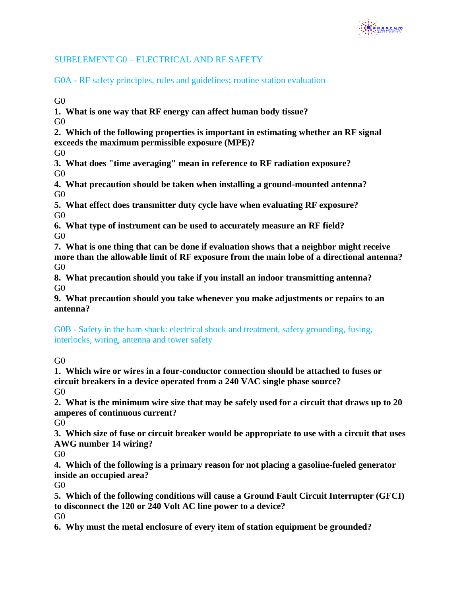

### SUBELEMENT G0 – ELECTRICAL AND RF SAFETY

G0A - RF safety principles, rules and guidelines; routine station evaluation

 $G<sub>0</sub>$ 

**1. What is one way that RF energy can affect human body tissue?**

 $G<sub>0</sub>$ 

**2. Which of the following properties is important in estimating whether an RF signal exceeds the maximum permissible exposure (MPE)?**

G0

**3. What does "time averaging" mean in reference to RF radiation exposure?** G0

**4. What precaution should be taken when installing a ground-mounted antenna?** G0

**5. What effect does transmitter duty cycle have when evaluating RF exposure?**  G0

**6. What type of instrument can be used to accurately measure an RF field?**  $G<sub>0</sub>$ 

**7. What is one thing that can be done if evaluation shows that a neighbor might receive more than the allowable limit of RF exposure from the main lobe of a directional antenna?** G0

**8. What precaution should you take if you install an indoor transmitting antenna?**  $G<sub>0</sub>$ 

**9. What precaution should you take whenever you make adjustments or repairs to an antenna?**

G0B - Safety in the ham shack: electrical shock and treatment, safety grounding, fusing, interlocks, wiring, antenna and tower safety

 $G<sub>0</sub>$ 

**1. Which wire or wires in a four-conductor connection should be attached to fuses or circuit breakers in a device operated from a 240 VAC single phase source?**  $G<sub>0</sub>$ 

**2. What is the minimum wire size that may be safely used for a circuit that draws up to 20 amperes of continuous current?**

G0

**3. Which size of fuse or circuit breaker would be appropriate to use with a circuit that uses AWG number 14 wiring?** 

G0

**4. Which of the following is a primary reason for not placing a gasoline-fueled generator inside an occupied area?**

G0

**5. Which of the following conditions will cause a Ground Fault Circuit Interrupter (GFCI) to disconnect the 120 or 240 Volt AC line power to a device?** G<sub>0</sub>

**6. Why must the metal enclosure of every item of station equipment be grounded?**